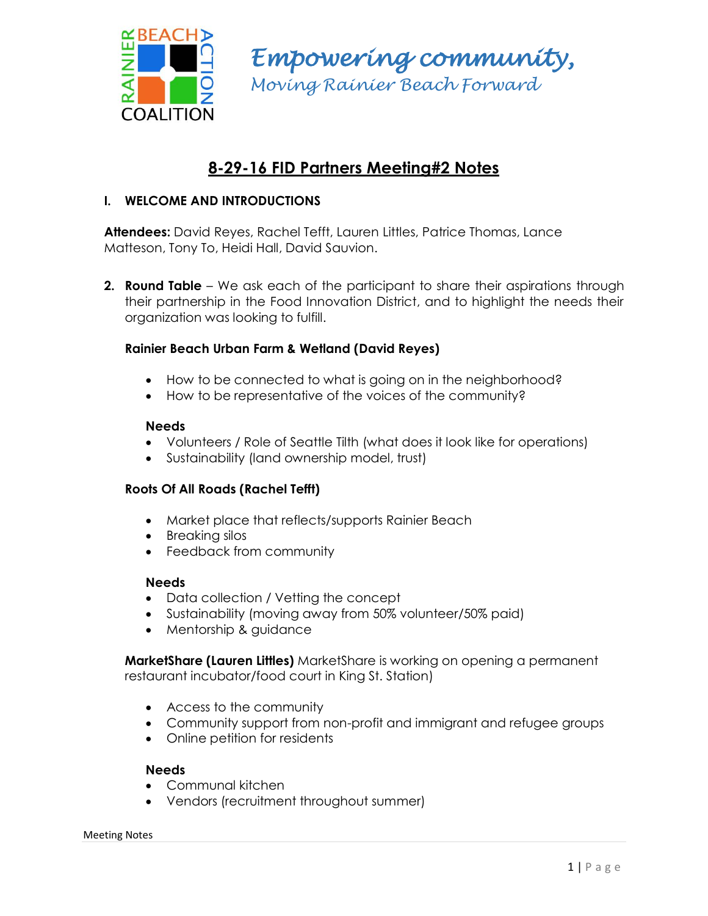

*Empowering community, Moving Rainier Beach Forward*

# **8-29-16 FID Partners Meeting#2 Notes**

## **I. WELCOME AND INTRODUCTIONS**

**Attendees:** David Reyes, Rachel Tefft, Lauren Littles, Patrice Thomas, Lance Matteson, Tony To, Heidi Hall, David Sauvion.

**2. Round Table** – We ask each of the participant to share their aspirations through their partnership in the Food Innovation District, and to highlight the needs their organization was looking to fulfill.

## **Rainier Beach Urban Farm & Wetland (David Reyes)**

- How to be connected to what is going on in the neighborhood?
- How to be representative of the voices of the community?

#### **Needs**

- Volunteers / Role of Seattle Tilth (what does it look like for operations)
- Sustainability (land ownership model, trust)

## **Roots Of All Roads (Rachel Tefft)**

- Market place that reflects/supports Rainier Beach
- Breaking silos
- Feedback from community

## **Needs**

- Data collection / Vetting the concept
- Sustainability (moving away from 50% volunteer/50% paid)
- Mentorship & guidance

**MarketShare (Lauren Littles)** MarketShare is working on opening a permanent restaurant incubator/food court in King St. Station)

- Access to the community
- Community support from non-profit and immigrant and refugee groups
- Online petition for residents

#### **Needs**

- Communal kitchen
- Vendors (recruitment throughout summer)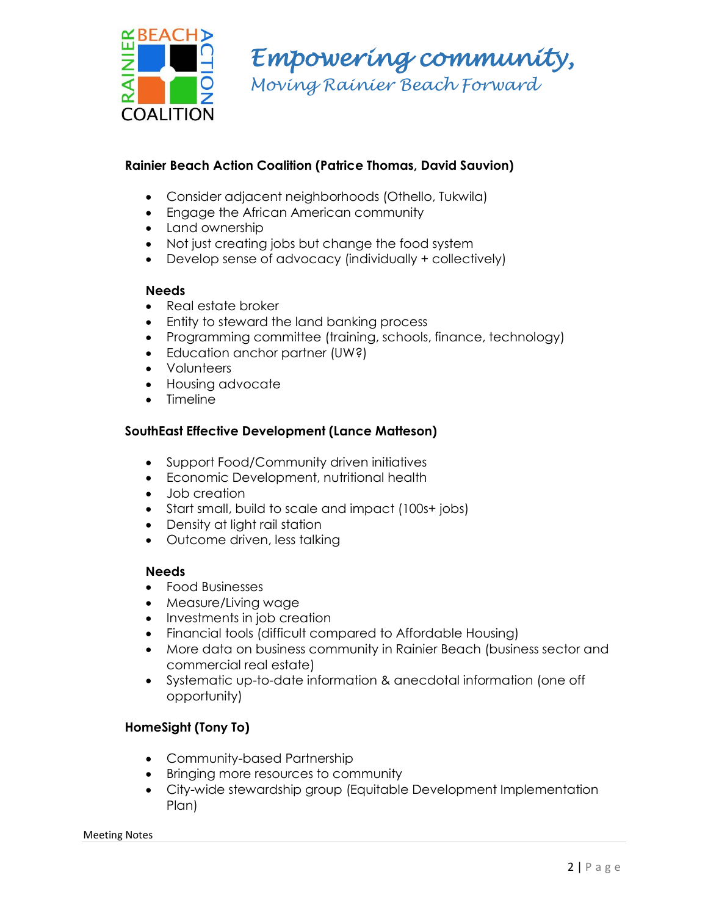

*Empowering community, Moving Rainier Beach Forward*

# **Rainier Beach Action Coalition (Patrice Thomas, David Sauvion)**

- Consider adjacent neighborhoods (Othello, Tukwila)
- Engage the African American community
- Land ownership
- Not just creating jobs but change the food system
- Develop sense of advocacy (individually + collectively)

#### **Needs**

- Real estate broker
- Entity to steward the land banking process
- Programming committee (training, schools, finance, technology)
- Education anchor partner (UW?)
- Volunteers
- Housing advocate
- Timeline

# **SouthEast Effective Development (Lance Matteson)**

- Support Food/Community driven initiatives
- Economic Development, nutritional health
- Job creation
- Start small, build to scale and impact (100s+ jobs)
- Density at light rail station
- Outcome driven, less talking

## **Needs**

- Food Businesses
- Measure/Living wage
- Investments in job creation
- Financial tools (difficult compared to Affordable Housing)
- More data on business community in Rainier Beach (business sector and commercial real estate)
- Systematic up-to-date information & anecdotal information (one off opportunity)

# **HomeSight (Tony To)**

- Community-based Partnership
- Bringing more resources to community
- City-wide stewardship group (Equitable Development Implementation Plan)